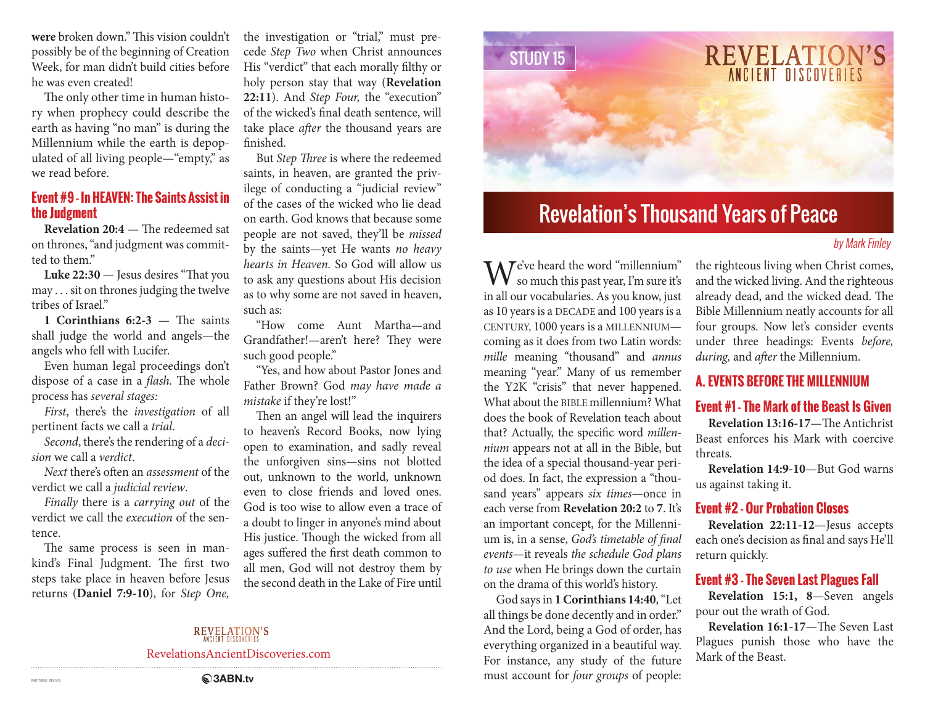**were** broken down." This vision couldn't possibly be of the beginning of Creation Week, for man didn't build cities before he was even created!

The only other time in human history when prophecy could describe the earth as having "no man" is during the Millennium while the earth is depopulated of all living people—"empty," as we read before.

#### **Event #9 - In HEAVEN: The Saints Assist in the Judgment**

**Revelation 20:4** — The redeemed sat on thrones, "and judgment was committed to them."

**Luke 22:30** — Jesus desires "That you may . . . sit on thrones judging the twelve tribes of Israel"

**1 Corinthians 6:2-3** — The saints shall judge the world and angels—the angels who fell with Lucifer.

Even human legal proceedings don't dispose of a case in a *flash.* The whole process has *several stages:*

*First*, there's the *investigation* of all pertinent facts we call a *trial*.

*Second*, there's the rendering of a *decision* we call a *verdict*.

*Next* there's often an *assessment* of the verdict we call a *judicial review*.

*Finally* there is a *carrying out* of the verdict we call the *execution* of the sentence.

The same process is seen in mankind's Final Judgment. The first two steps take place in heaven before Jesus returns (**Daniel 7:9-10**), for *Step One,* 

the investigation or "trial," must precede *Step Two* when Christ announces His "verdict" that each morally filthy or holy person stay that way (**Revelation 22:11**). And *Step Four,* the "execution" of the wicked's final death sentence, will take place *after* the thousand years are finished.

But *Step Three* is where the redeemed saints, in heaven, are granted the privilege of conducting a "judicial review" of the cases of the wicked who lie dead on earth. God knows that because some people are not saved, they'll be *missed*  by the saints—yet He wants *no heavy hearts in Heaven.* So God will allow us to ask any questions about His decision as to why some are not saved in heaven, such as:

"How come Aunt Martha—and Grandfather!—aren't here? They were such good people."

"Yes, and how about Pastor Jones and Father Brown? God *may have made a mistake* if they're lost!"

Then an angel will lead the inquirers to heaven's Record Books, now lying open to examination, and sadly reveal the unforgiven sins—sins not blotted out, unknown to the world, unknown even to close friends and loved ones. God is too wise to allow even a trace of a doubt to linger in anyone's mind about His justice. Though the wicked from all ages suffered the first death common to all men, God will not destroy them by the second death in the Lake of Fire until



# Revelation's Thousand Years of Peace

#### by Mark Finley

**M**  $\overline{V}$  e've heard the word "millennium" so much this past year, I'm sure it's in all our vocabularies. As you know, just as 10 years is a DECADE and 100 years is a CENTURY, 1000 years is a MILLENNIUM coming as it does from two Latin words: *mille* meaning "thousand" and *annus*  meaning "year." Many of us remember the Y2K "crisis" that never happened. What about the BIBLE millennium? What does the book of Revelation teach about that? Actually, the specific word *millennium* appears not at all in the Bible, but the idea of a special thousand-year period does. In fact, the expression a "thousand years" appears *six times*—once in each verse from **Revelation 20:2** to **7**. It's an important concept, for the Millennium is, in a sense, *God's timetable of final events*—it reveals *the schedule God plans to use* when He brings down the curtain on the drama of this world's history.

God says in **1 Corinthians 14:40**, "Let all things be done decently and in order." And the Lord, being a God of order, has everything organized in a beautiful way. For instance, any study of the future must account for *four groups* of people:

the righteous living when Christ comes, and the wicked living. And the righteous already dead, and the wicked dead. The Bible Millennium neatly accounts for all four groups. Now let's consider events under three headings: Events *before, during,* and *after* the Millennium.

# **A. EVENTS BEFORE THE MILLENNIUM**

#### **Event #1 - The Mark of the Beast Is Given**

**Revelation 13:16-17**—The Antichrist Beast enforces his Mark with coercive threats.

**Revelation 14:9-10**—But God warns us against taking it.

#### **Event #2 - Our Probation Closes**

**Revelation 22:11-12**—Jesus accepts each one's decision as final and says He'll return quickly.

#### **Event #3 - The Seven Last Plagues Fall**

**Revelation 15:1, 8**—Seven angels pour out the wrath of God.

**Revelation 16:1-17**—The Seven Last Plagues punish those who have the Mark of the Beast.

# **REVELATION'S**

RevelationsAncientDiscoveries.com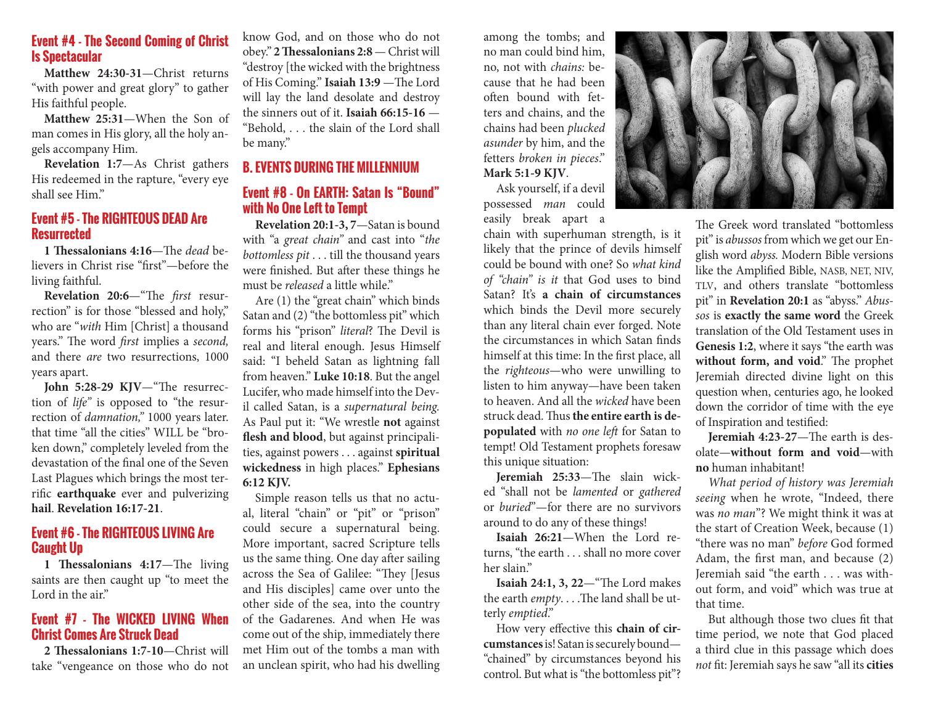#### **Event #4 - The Second Coming of Christ Is Spectacular**

**Matthew 24:30-31**—Christ returns "with power and great glory" to gather His faithful people.

**Matthew 25:31**—When the Son of man comes in His glory, all the holy angels accompany Him.

**Revelation 1:7**—As Christ gathers His redeemed in the rapture, "every eye shall see Him."

#### **Event #5 - The RIGHTEOUS DEAD Are Resurrected**

**1 Thessalonians 4:16**—The *dead* believers in Christ rise "first"—before the living faithful.

**Revelation 20:6**—"The *first* resurrection" is for those "blessed and holy," who are "*with* Him [Christ] a thousand years." The word *first* implies a *second,*  and there *are* two resurrections, 1000 years apart.

**John 5:28-29 KJV**—"The resurrection of *life"* is opposed to "the resurrection of *damnation,"* 1000 years later. that time "all the cities" WILL be "broken down," completely leveled from the devastation of the final one of the Seven Last Plagues which brings the most terrific **earthquake** ever and pulverizing **hail**. **Revelation 16:17-21**.

#### **Event #6 - The RIGHTEOUS LIVING Are Caught Up**

**1 Thessalonians 4:17**—The living saints are then caught up "to meet the Lord in the air."

#### **Event #7 - The WICKED LIVING When Christ Comes Are Struck Dead**

**2 Thessalonians 1:7-10**—Christ will take "vengeance on those who do not

know God, and on those who do not obey." **2 Thessalonians 2:8** — Christ will "destroy [the wicked with the brightness of His Coming." **Isaiah 13:9** —The Lord will lay the land desolate and destroy the sinners out of it. **Isaiah 66:15-16** — "Behold, . . . the slain of the Lord shall be many."

## **B. EVENTS DURING THE MILLENNIUM**

#### **Event #8 - On EARTH: Satan Is "Bound" with No One Left to Tempt**

**Revelation 20:1-3, 7**—Satan is bound with "a *great chain"* and cast into "*the bottomless pit* . . . till the thousand years were finished. But after these things he must be *released* a little while."

Are (1) the "great chain" which binds Satan and (2) "the bottomless pit" which forms his "prison" *literal*? The Devil is real and literal enough. Jesus Himself said: "I beheld Satan as lightning fall from heaven." **Luke 10:18**. But the angel Lucifer, who made himself into the Devil called Satan, is a *supernatural being.*  As Paul put it: "We wrestle **not** against **flesh and blood**, but against principalities, against powers . . . against **spiritual wickedness** in high places." **Ephesians 6:12 KJV.**

Simple reason tells us that no actual, literal "chain" or "pit" or "prison" could secure a supernatural being. More important, sacred Scripture tells us the same thing. One day after sailing across the Sea of Galilee: "They [Jesus and His disciples] came over unto the other side of the sea, into the country of the Gadarenes. And when He was come out of the ship, immediately there met Him out of the tombs a man with an unclean spirit, who had his dwelling among the tombs; and no man could bind him, no, not with *chains:* because that he had been often bound with fetters and chains, and the chains had been *plucked asunder* by him, and the fetters *broken in pieces*." **Mark 5:1-9 KJV**.

Ask yourself, if a devil possessed *man* could easily break apart a

chain with superhuman strength, is it likely that the prince of devils himself could be bound with one? So *what kind of "chain" is it* that God uses to bind Satan? It's **a chain of circumstances** which binds the Devil more securely than any literal chain ever forged. Note the circumstances in which Satan finds himself at this time: In the first place, all the *righteous*—who were unwilling to listen to him anyway—have been taken to heaven. And all the *wicked* have been struck dead. Thus **the entire earth is depopulated** with *no one left* for Satan to tempt! Old Testament prophets foresaw this unique situation:

**Jeremiah 25:33**—The slain wicked "shall not be *lamented* or *gathered* or *buried*"—for there are no survivors around to do any of these things!

**Isaiah 26:21**—When the Lord returns, "the earth . . . shall no more cover her slain"

**Isaiah 24:1, 3, 22**—"The Lord makes the earth *empty*. . . .The land shall be utterly *emptied*."

How very effective this **chain of circumstances** is! Satan is securely bound— "chained" by circumstances beyond his control. But what is "the bottomless pit"?



The Greek word translated "bottomless pit" is *abussos* from which we get our English word *abyss.* Modern Bible versions like the Amplified Bible, NASB, NET, NIV, TLV, and others translate "bottomless pit" in **Revelation 20:1** as "abyss." *Abussos* is **exactly the same word** the Greek translation of the Old Testament uses in **Genesis 1:2**, where it says "the earth was **without form, and void**." The prophet Jeremiah directed divine light on this question when, centuries ago, he looked down the corridor of time with the eye of Inspiration and testified:

**Jeremiah 4:23-27**—The earth is desolate—**without form and void**—with **no** human inhabitant!

*What period of history was Jeremiah seeing* when he wrote, "Indeed, there was *no man*"? We might think it was at the start of Creation Week, because (1) "there was no man" *before* God formed Adam, the first man, and because (2) Jeremiah said "the earth . . . was without form, and void" which was true at that time.

But although those two clues fit that time period, we note that God placed a third clue in this passage which does *not* fit: Jeremiah says he saw "all its **cities**